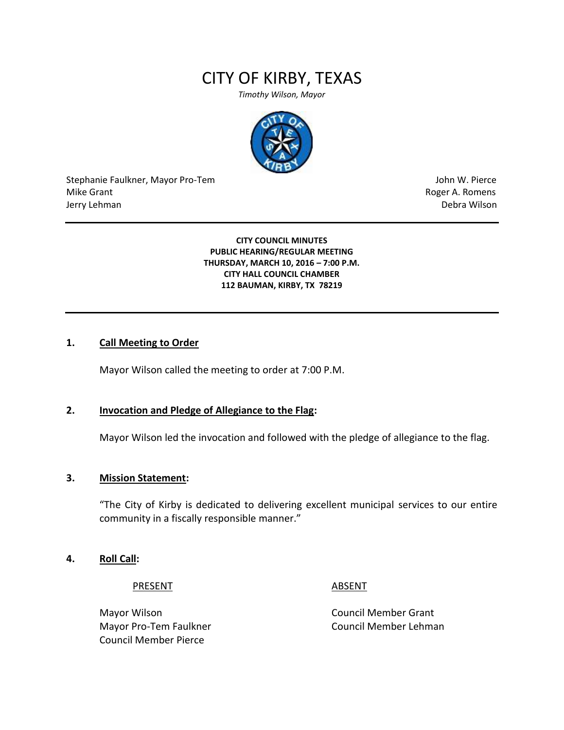# CITY OF KIRBY, TEXAS

*Timothy Wilson, Mayor*



Stephanie Faulkner, Mayor Pro-Tem John W. Pierce Mike Grant **Mike Grant** Roger A. Romens **Contract A. Romens Contract A. Romens Contract A. Romens** Jerry Lehman Debra Wilson

#### **CITY COUNCIL MINUTES PUBLIC HEARING/REGULAR MEETING THURSDAY, MARCH 10, 2016 – 7:00 P.M. CITY HALL COUNCIL CHAMBER 112 BAUMAN, KIRBY, TX 78219**

#### **1. Call Meeting to Order**

Mayor Wilson called the meeting to order at 7:00 P.M.

### **2. Invocation and Pledge of Allegiance to the Flag:**

Mayor Wilson led the invocation and followed with the pledge of allegiance to the flag.

#### **3. Mission Statement:**

"The City of Kirby is dedicated to delivering excellent municipal services to our entire community in a fiscally responsible manner."

#### **4. Roll Call:**

PRESENT ABSENT

Mayor Wilson **Council Member Grant** Council Member Pierce

Mayor Pro-Tem Faulkner Council Member Lehman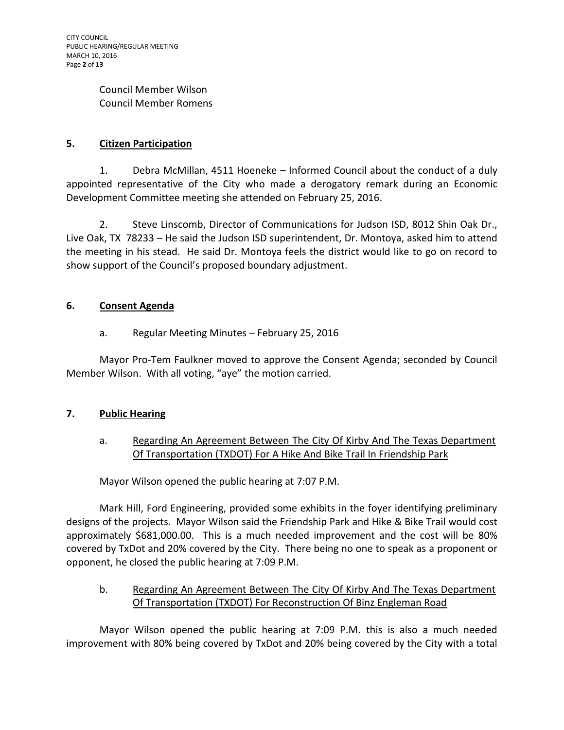Council Member Wilson Council Member Romens

# **5. Citizen Participation**

1. Debra McMillan, 4511 Hoeneke – Informed Council about the conduct of a duly appointed representative of the City who made a derogatory remark during an Economic Development Committee meeting she attended on February 25, 2016.

2. Steve Linscomb, Director of Communications for Judson ISD, 8012 Shin Oak Dr., Live Oak, TX 78233 – He said the Judson ISD superintendent, Dr. Montoya, asked him to attend the meeting in his stead. He said Dr. Montoya feels the district would like to go on record to show support of the Council's proposed boundary adjustment.

# **6. Consent Agenda**

# a. Regular Meeting Minutes - February 25, 2016

Mayor Pro-Tem Faulkner moved to approve the Consent Agenda; seconded by Council Member Wilson. With all voting, "aye" the motion carried.

# **7. Public Hearing**

# a. Regarding An Agreement Between The City Of Kirby And The Texas Department Of Transportation (TXDOT) For A Hike And Bike Trail In Friendship Park

Mayor Wilson opened the public hearing at 7:07 P.M.

Mark Hill, Ford Engineering, provided some exhibits in the foyer identifying preliminary designs of the projects. Mayor Wilson said the Friendship Park and Hike & Bike Trail would cost approximately \$681,000.00. This is a much needed improvement and the cost will be 80% covered by TxDot and 20% covered by the City. There being no one to speak as a proponent or opponent, he closed the public hearing at 7:09 P.M.

# b. Regarding An Agreement Between The City Of Kirby And The Texas Department Of Transportation (TXDOT) For Reconstruction Of Binz Engleman Road

Mayor Wilson opened the public hearing at 7:09 P.M. this is also a much needed improvement with 80% being covered by TxDot and 20% being covered by the City with a total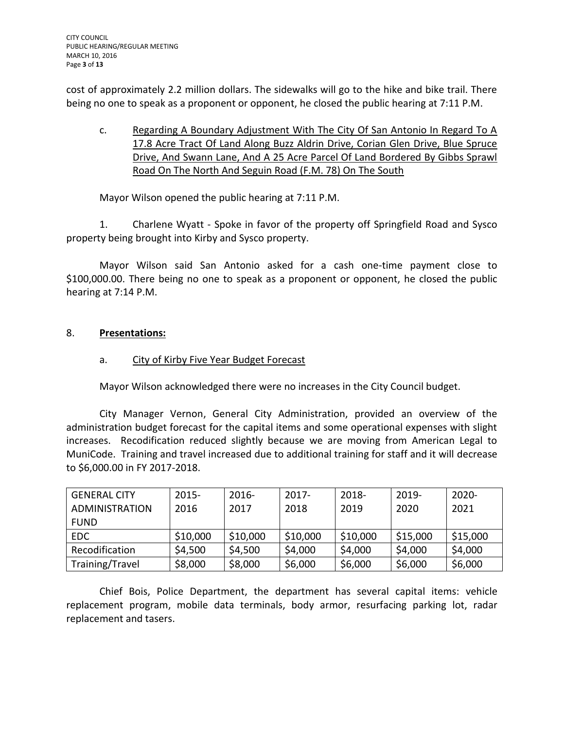cost of approximately 2.2 million dollars. The sidewalks will go to the hike and bike trail. There being no one to speak as a proponent or opponent, he closed the public hearing at 7:11 P.M.

c. Regarding A Boundary Adjustment With The City Of San Antonio In Regard To A 17.8 Acre Tract Of Land Along Buzz Aldrin Drive, Corian Glen Drive, Blue Spruce Drive, And Swann Lane, And A 25 Acre Parcel Of Land Bordered By Gibbs Sprawl Road On The North And Seguin Road (F.M. 78) On The South

Mayor Wilson opened the public hearing at 7:11 P.M.

1. Charlene Wyatt - Spoke in favor of the property off Springfield Road and Sysco property being brought into Kirby and Sysco property.

Mayor Wilson said San Antonio asked for a cash one-time payment close to \$100,000.00. There being no one to speak as a proponent or opponent, he closed the public hearing at 7:14 P.M.

# 8. **Presentations:**

# a. City of Kirby Five Year Budget Forecast

Mayor Wilson acknowledged there were no increases in the City Council budget.

City Manager Vernon, General City Administration, provided an overview of the administration budget forecast for the capital items and some operational expenses with slight increases. Recodification reduced slightly because we are moving from American Legal to MuniCode. Training and travel increased due to additional training for staff and it will decrease to \$6,000.00 in FY 2017-2018.

| <b>GENERAL CITY</b>   | $2015 -$ | $2016 -$ | $2017 -$ | 2018-    | $2019 -$ | $2020 -$ |
|-----------------------|----------|----------|----------|----------|----------|----------|
| <b>ADMINISTRATION</b> | 2016     | 2017     | 2018     | 2019     | 2020     | 2021     |
| <b>FUND</b>           |          |          |          |          |          |          |
| <b>EDC</b>            | \$10,000 | \$10,000 | \$10,000 | \$10,000 | \$15,000 | \$15,000 |
| Recodification        | \$4,500  | \$4,500  | \$4,000  | \$4,000  | \$4,000  | \$4,000  |
| Training/Travel       | \$8,000  | \$8,000  | \$6,000  | \$6,000  | \$6,000  | \$6,000  |

Chief Bois, Police Department, the department has several capital items: vehicle replacement program, mobile data terminals, body armor, resurfacing parking lot, radar replacement and tasers.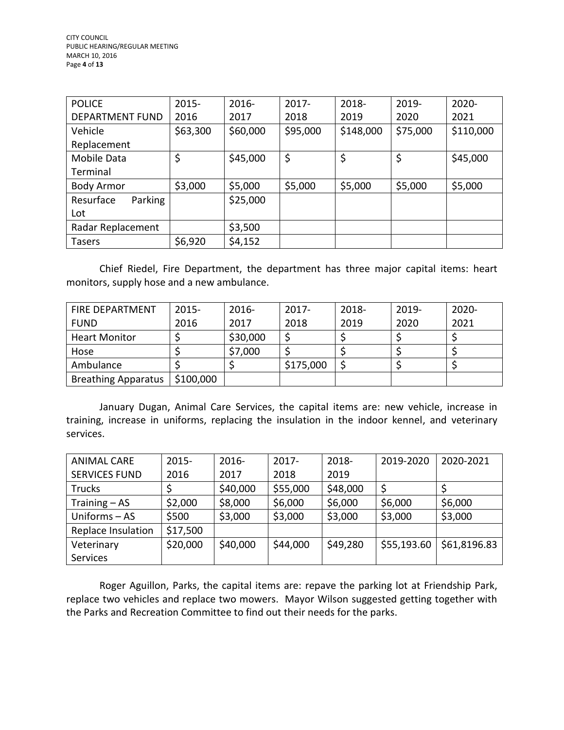| <b>POLICE</b>          | $2015 -$ | 2016-    | $2017 -$ | 2018-     | 2019-    | 2020-     |
|------------------------|----------|----------|----------|-----------|----------|-----------|
| <b>DEPARTMENT FUND</b> | 2016     | 2017     | 2018     | 2019      | 2020     | 2021      |
| Vehicle                | \$63,300 | \$60,000 | \$95,000 | \$148,000 | \$75,000 | \$110,000 |
| Replacement            |          |          |          |           |          |           |
| Mobile Data            | \$       | \$45,000 | \$       | \$        | \$       | \$45,000  |
| Terminal               |          |          |          |           |          |           |
| <b>Body Armor</b>      | \$3,000  | \$5,000  | \$5,000  | \$5,000   | \$5,000  | \$5,000   |
| Parking<br>Resurface   |          | \$25,000 |          |           |          |           |
| Lot                    |          |          |          |           |          |           |
| Radar Replacement      |          | \$3,500  |          |           |          |           |
| <b>Tasers</b>          | \$6,920  | \$4,152  |          |           |          |           |

Chief Riedel, Fire Department, the department has three major capital items: heart monitors, supply hose and a new ambulance.

| <b>FIRE DEPARTMENT</b>     | $2015 -$  | $2016-$  | $2017 -$  | 2018- | 2019- | $2020 -$ |
|----------------------------|-----------|----------|-----------|-------|-------|----------|
| <b>FUND</b>                | 2016      | 2017     | 2018      | 2019  | 2020  | 2021     |
| <b>Heart Monitor</b>       |           | \$30,000 |           |       |       |          |
| Hose                       |           | \$7,000  |           |       |       |          |
| Ambulance                  |           |          | \$175,000 |       |       |          |
| <b>Breathing Apparatus</b> | \$100,000 |          |           |       |       |          |

January Dugan, Animal Care Services, the capital items are: new vehicle, increase in training, increase in uniforms, replacing the insulation in the indoor kennel, and veterinary services.

| <b>ANIMAL CARE</b>   | $2015 -$ | $2016 -$ | $2017 -$ | 2018-    | 2019-2020   | 2020-2021    |
|----------------------|----------|----------|----------|----------|-------------|--------------|
| <b>SERVICES FUND</b> | 2016     | 2017     | 2018     | 2019     |             |              |
| <b>Trucks</b>        |          | \$40,000 | \$55,000 | \$48,000 | \$          |              |
| Training - AS        | \$2,000  | \$8,000  | \$6,000  | \$6,000  | \$6,000     | \$6,000      |
| Uniforms - AS        | \$500    | \$3,000  | \$3,000  | \$3,000  | \$3,000     | \$3,000      |
| Replace Insulation   | \$17,500 |          |          |          |             |              |
| Veterinary           | \$20,000 | \$40,000 | \$44,000 | \$49,280 | \$55,193.60 | \$61,8196.83 |
| <b>Services</b>      |          |          |          |          |             |              |

Roger Aguillon, Parks, the capital items are: repave the parking lot at Friendship Park, replace two vehicles and replace two mowers. Mayor Wilson suggested getting together with the Parks and Recreation Committee to find out their needs for the parks.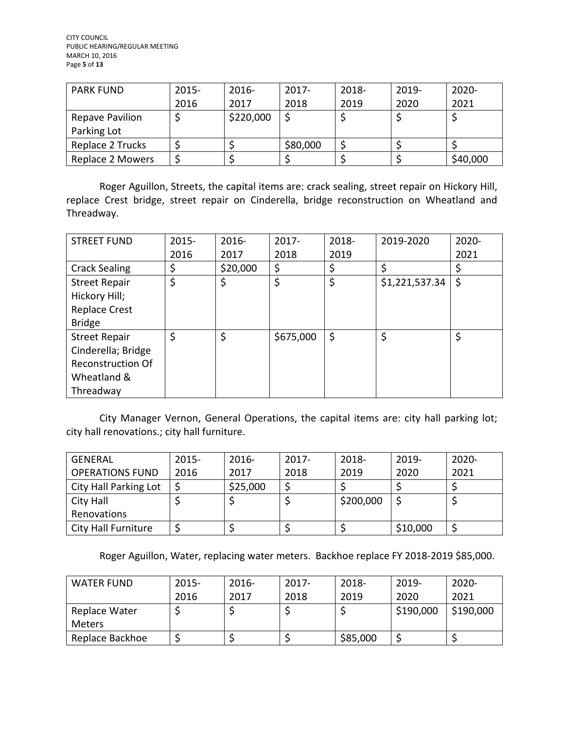| <b>PARK FUND</b> | $2015 -$ | $2016 -$  | $2017 -$ | 2018- | $2019 -$ | $2020 -$ |
|------------------|----------|-----------|----------|-------|----------|----------|
|                  | 2016     | 2017      | 2018     | 2019  | 2020     | 2021     |
| Repave Pavilion  |          | \$220,000 |          |       |          |          |
| Parking Lot      |          |           |          |       |          |          |
| Replace 2 Trucks |          |           | \$80,000 |       |          |          |
| Replace 2 Mowers |          |           |          |       |          | \$40,000 |

Roger Aguillon, Streets, the capital items are: crack sealing, street repair on Hickory Hill, replace Crest bridge, street repair on Cinderella, bridge reconstruction on Wheatland and Threadway.

| <b>STREET FUND</b>       | $2015 -$ | $2016 -$ | $2017 -$  | 2018-   | 2019-2020      | 2020- |
|--------------------------|----------|----------|-----------|---------|----------------|-------|
|                          | 2016     | 2017     | 2018      | 2019    |                | 2021  |
| <b>Crack Sealing</b>     | \$       | \$20,000 | \$        | \$      | \$             |       |
| <b>Street Repair</b>     | \$       | \$       | \$        | \$      | \$1,221,537.34 | \$    |
| Hickory Hill;            |          |          |           |         |                |       |
| <b>Replace Crest</b>     |          |          |           |         |                |       |
| <b>Bridge</b>            |          |          |           |         |                |       |
| <b>Street Repair</b>     | \$       | \$       | \$675,000 | $\zeta$ | \$             | \$    |
| Cinderella; Bridge       |          |          |           |         |                |       |
| <b>Reconstruction Of</b> |          |          |           |         |                |       |
| Wheatland &              |          |          |           |         |                |       |
| Threadway                |          |          |           |         |                |       |

City Manager Vernon, General Operations, the capital items are: city hall parking lot; city hall renovations.; city hall furniture.

| <b>GENERAL</b>         | $2015 -$ | $2016 -$ | $2017 -$ | 2018-     | $2019 -$ | $2020 -$ |
|------------------------|----------|----------|----------|-----------|----------|----------|
| <b>OPERATIONS FUND</b> | 2016     | 2017     | 2018     | 2019      | 2020     | 2021     |
| City Hall Parking Lot  |          | \$25,000 |          |           |          |          |
| City Hall              |          |          |          | \$200,000 |          |          |
| Renovations            |          |          |          |           |          |          |
| City Hall Furniture    |          |          |          |           | \$10,000 |          |

Roger Aguillon, Water, replacing water meters. Backhoe replace FY 2018-2019 \$85,000.

| <b>WATER FUND</b> | $2015 -$ | $2016 -$ | $2017 -$ | $2018 -$ | $2019 -$  | $2020 -$  |
|-------------------|----------|----------|----------|----------|-----------|-----------|
|                   | 2016     | 2017     | 2018     | 2019     | 2020      | 2021      |
| Replace Water     |          |          |          |          | \$190,000 | \$190,000 |
| <b>Meters</b>     |          |          |          |          |           |           |
| Replace Backhoe   |          |          |          | \$85,000 |           |           |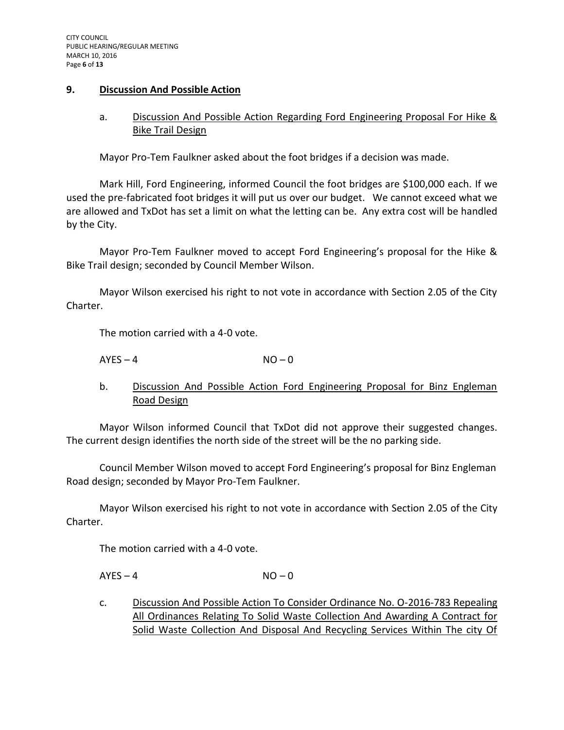#### **9. Discussion And Possible Action**

# a. Discussion And Possible Action Regarding Ford Engineering Proposal For Hike & Bike Trail Design

Mayor Pro-Tem Faulkner asked about the foot bridges if a decision was made.

Mark Hill, Ford Engineering, informed Council the foot bridges are \$100,000 each. If we used the pre-fabricated foot bridges it will put us over our budget. We cannot exceed what we are allowed and TxDot has set a limit on what the letting can be. Any extra cost will be handled by the City.

Mayor Pro-Tem Faulkner moved to accept Ford Engineering's proposal for the Hike & Bike Trail design; seconded by Council Member Wilson.

Mayor Wilson exercised his right to not vote in accordance with Section 2.05 of the City Charter.

The motion carried with a 4-0 vote.

 $AYES - 4$   $NO - 0$ 

b. Discussion And Possible Action Ford Engineering Proposal for Binz Engleman Road Design

Mayor Wilson informed Council that TxDot did not approve their suggested changes. The current design identifies the north side of the street will be the no parking side.

Council Member Wilson moved to accept Ford Engineering's proposal for Binz Engleman Road design; seconded by Mayor Pro-Tem Faulkner.

Mayor Wilson exercised his right to not vote in accordance with Section 2.05 of the City Charter.

The motion carried with a 4-0 vote.

 $AYES - 4$   $NO - 0$ 

c. Discussion And Possible Action To Consider Ordinance No. O-2016-783 Repealing All Ordinances Relating To Solid Waste Collection And Awarding A Contract for Solid Waste Collection And Disposal And Recycling Services Within The city Of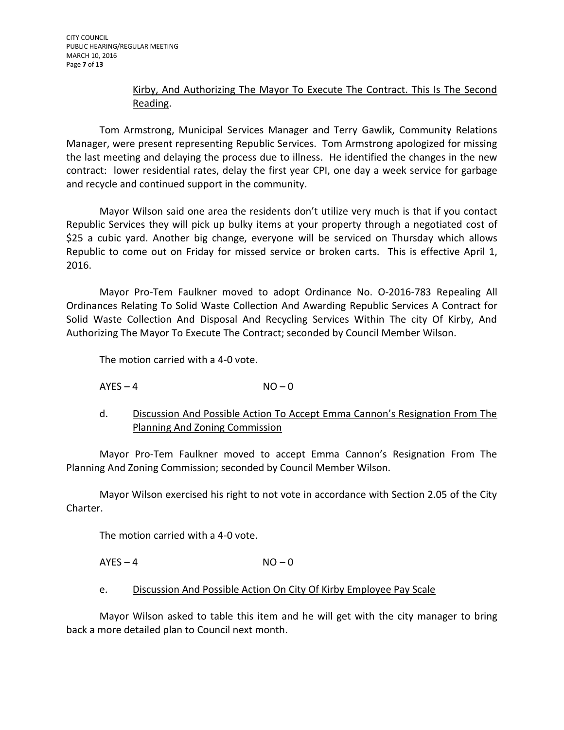# Kirby, And Authorizing The Mayor To Execute The Contract. This Is The Second Reading.

Tom Armstrong, Municipal Services Manager and Terry Gawlik, Community Relations Manager, were present representing Republic Services. Tom Armstrong apologized for missing the last meeting and delaying the process due to illness. He identified the changes in the new contract: lower residential rates, delay the first year CPI, one day a week service for garbage and recycle and continued support in the community.

Mayor Wilson said one area the residents don't utilize very much is that if you contact Republic Services they will pick up bulky items at your property through a negotiated cost of \$25 a cubic yard. Another big change, everyone will be serviced on Thursday which allows Republic to come out on Friday for missed service or broken carts. This is effective April 1, 2016.

Mayor Pro-Tem Faulkner moved to adopt Ordinance No. O-2016-783 Repealing All Ordinances Relating To Solid Waste Collection And Awarding Republic Services A Contract for Solid Waste Collection And Disposal And Recycling Services Within The city Of Kirby, And Authorizing The Mayor To Execute The Contract; seconded by Council Member Wilson.

The motion carried with a 4-0 vote.

 $AYES - 4$   $NO - 0$ 

d. Discussion And Possible Action To Accept Emma Cannon's Resignation From The Planning And Zoning Commission

Mayor Pro-Tem Faulkner moved to accept Emma Cannon's Resignation From The Planning And Zoning Commission; seconded by Council Member Wilson.

Mayor Wilson exercised his right to not vote in accordance with Section 2.05 of the City Charter.

The motion carried with a 4-0 vote.

 $AYES - 4$   $NO - 0$ 

#### e. Discussion And Possible Action On City Of Kirby Employee Pay Scale

Mayor Wilson asked to table this item and he will get with the city manager to bring back a more detailed plan to Council next month.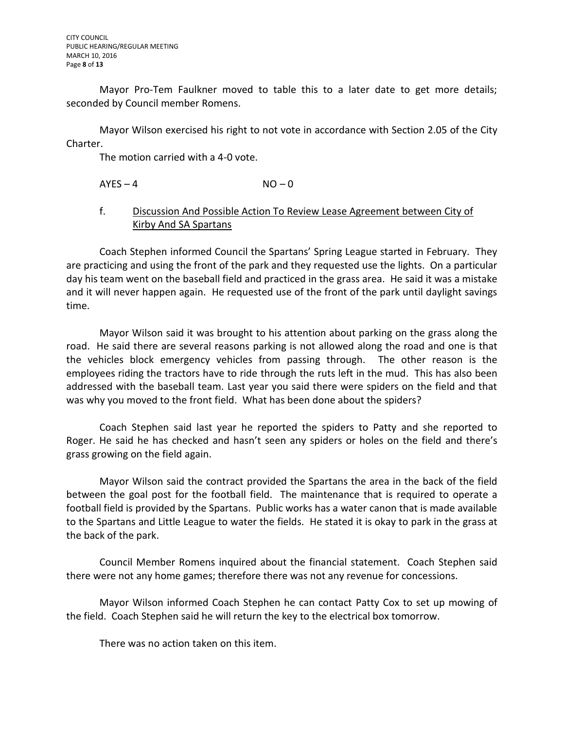Mayor Pro-Tem Faulkner moved to table this to a later date to get more details; seconded by Council member Romens.

Mayor Wilson exercised his right to not vote in accordance with Section 2.05 of the City Charter.

The motion carried with a 4-0 vote.

 $AYES - 4$   $NO - 0$ 

## f. Discussion And Possible Action To Review Lease Agreement between City of Kirby And SA Spartans

Coach Stephen informed Council the Spartans' Spring League started in February. They are practicing and using the front of the park and they requested use the lights. On a particular day his team went on the baseball field and practiced in the grass area. He said it was a mistake and it will never happen again. He requested use of the front of the park until daylight savings time.

Mayor Wilson said it was brought to his attention about parking on the grass along the road. He said there are several reasons parking is not allowed along the road and one is that the vehicles block emergency vehicles from passing through. The other reason is the employees riding the tractors have to ride through the ruts left in the mud. This has also been addressed with the baseball team. Last year you said there were spiders on the field and that was why you moved to the front field. What has been done about the spiders?

Coach Stephen said last year he reported the spiders to Patty and she reported to Roger. He said he has checked and hasn't seen any spiders or holes on the field and there's grass growing on the field again.

Mayor Wilson said the contract provided the Spartans the area in the back of the field between the goal post for the football field. The maintenance that is required to operate a football field is provided by the Spartans. Public works has a water canon that is made available to the Spartans and Little League to water the fields. He stated it is okay to park in the grass at the back of the park.

Council Member Romens inquired about the financial statement. Coach Stephen said there were not any home games; therefore there was not any revenue for concessions.

Mayor Wilson informed Coach Stephen he can contact Patty Cox to set up mowing of the field. Coach Stephen said he will return the key to the electrical box tomorrow.

There was no action taken on this item.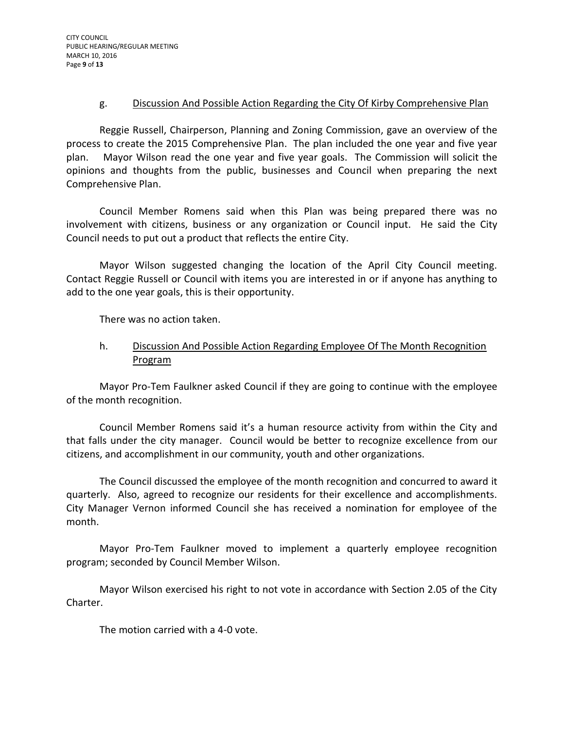#### g. Discussion And Possible Action Regarding the City Of Kirby Comprehensive Plan

Reggie Russell, Chairperson, Planning and Zoning Commission, gave an overview of the process to create the 2015 Comprehensive Plan. The plan included the one year and five year plan. Mayor Wilson read the one year and five year goals. The Commission will solicit the opinions and thoughts from the public, businesses and Council when preparing the next Comprehensive Plan.

Council Member Romens said when this Plan was being prepared there was no involvement with citizens, business or any organization or Council input. He said the City Council needs to put out a product that reflects the entire City.

Mayor Wilson suggested changing the location of the April City Council meeting. Contact Reggie Russell or Council with items you are interested in or if anyone has anything to add to the one year goals, this is their opportunity.

There was no action taken.

# h. Discussion And Possible Action Regarding Employee Of The Month Recognition Program

Mayor Pro-Tem Faulkner asked Council if they are going to continue with the employee of the month recognition.

Council Member Romens said it's a human resource activity from within the City and that falls under the city manager. Council would be better to recognize excellence from our citizens, and accomplishment in our community, youth and other organizations.

The Council discussed the employee of the month recognition and concurred to award it quarterly. Also, agreed to recognize our residents for their excellence and accomplishments. City Manager Vernon informed Council she has received a nomination for employee of the month.

Mayor Pro-Tem Faulkner moved to implement a quarterly employee recognition program; seconded by Council Member Wilson.

Mayor Wilson exercised his right to not vote in accordance with Section 2.05 of the City Charter.

The motion carried with a 4-0 vote.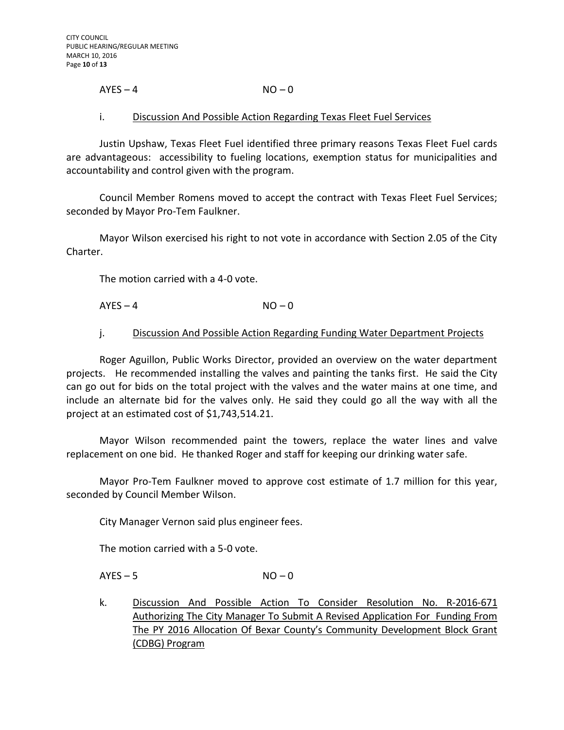#### $AYES - 4$   $NO - 0$

#### i. Discussion And Possible Action Regarding Texas Fleet Fuel Services

Justin Upshaw, Texas Fleet Fuel identified three primary reasons Texas Fleet Fuel cards are advantageous: accessibility to fueling locations, exemption status for municipalities and accountability and control given with the program.

Council Member Romens moved to accept the contract with Texas Fleet Fuel Services; seconded by Mayor Pro-Tem Faulkner.

Mayor Wilson exercised his right to not vote in accordance with Section 2.05 of the City Charter.

The motion carried with a 4-0 vote.

 $AYES - 4$   $NO - 0$ 

#### j. Discussion And Possible Action Regarding Funding Water Department Projects

Roger Aguillon, Public Works Director, provided an overview on the water department projects. He recommended installing the valves and painting the tanks first. He said the City can go out for bids on the total project with the valves and the water mains at one time, and include an alternate bid for the valves only. He said they could go all the way with all the project at an estimated cost of \$1,743,514.21.

Mayor Wilson recommended paint the towers, replace the water lines and valve replacement on one bid. He thanked Roger and staff for keeping our drinking water safe.

Mayor Pro-Tem Faulkner moved to approve cost estimate of 1.7 million for this year, seconded by Council Member Wilson.

City Manager Vernon said plus engineer fees.

The motion carried with a 5-0 vote.

 $AYES - 5$   $NO - 0$ 

k. Discussion And Possible Action To Consider Resolution No. R-2016-671 Authorizing The City Manager To Submit A Revised Application For Funding From The PY 2016 Allocation Of Bexar County's Community Development Block Grant (CDBG) Program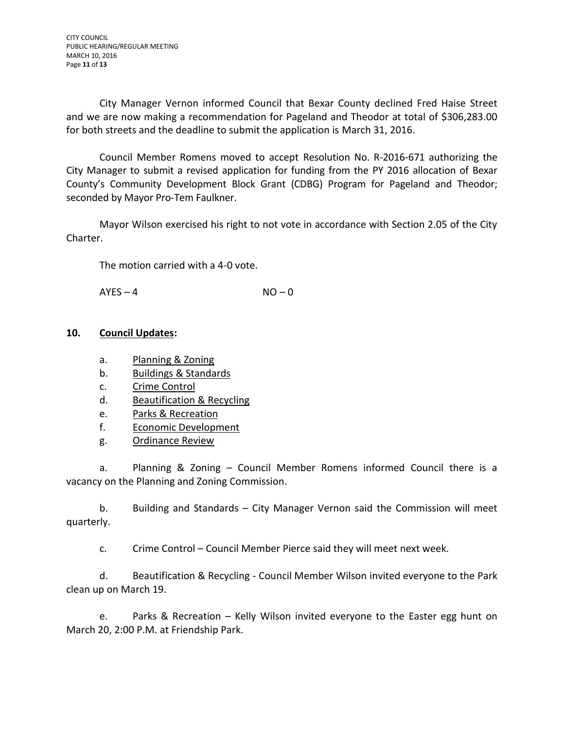City Manager Vernon informed Council that Bexar County declined Fred Haise Street and we are now making a recommendation for Pageland and Theodor at total of \$306,283.00 for both streets and the deadline to submit the application is March 31, 2016.

Council Member Romens moved to accept Resolution No. R-2016-671 authorizing the City Manager to submit a revised application for funding from the PY 2016 allocation of Bexar County's Community Development Block Grant (CDBG) Program for Pageland and Theodor; seconded by Mayor Pro-Tem Faulkner.

Mayor Wilson exercised his right to not vote in accordance with Section 2.05 of the City Charter.

The motion carried with a 4-0 vote.

 $AYES - 4$   $NO - 0$ 

## **10. Council Updates:**

- a. Planning & Zoning
- b. Buildings & Standards
- c. Crime Control
- d. Beautification & Recycling
- e. Parks & Recreation
- f. Economic Development
- g. Ordinance Review

a. Planning & Zoning – Council Member Romens informed Council there is a vacancy on the Planning and Zoning Commission.

b. Building and Standards – City Manager Vernon said the Commission will meet quarterly.

c. Crime Control – Council Member Pierce said they will meet next week.

d. Beautification & Recycling - Council Member Wilson invited everyone to the Park clean up on March 19.

e. Parks & Recreation – Kelly Wilson invited everyone to the Easter egg hunt on March 20, 2:00 P.M. at Friendship Park.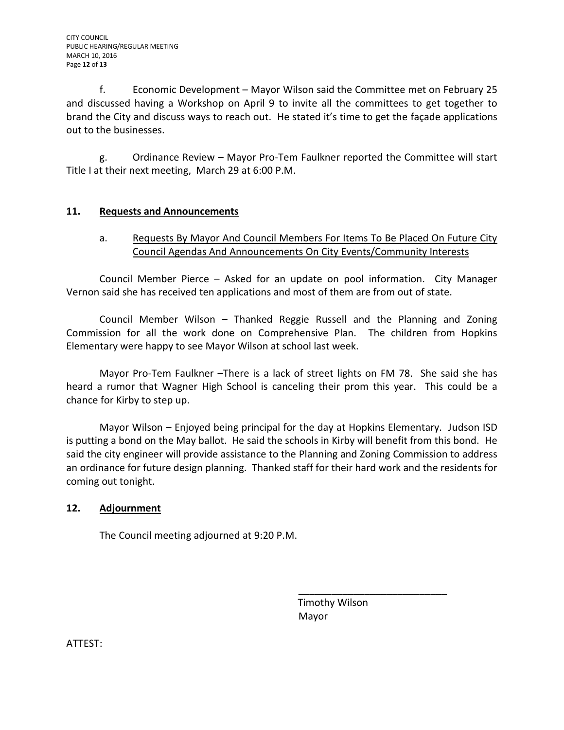f. Economic Development – Mayor Wilson said the Committee met on February 25 and discussed having a Workshop on April 9 to invite all the committees to get together to brand the City and discuss ways to reach out. He stated it's time to get the façade applications out to the businesses.

g. Ordinance Review – Mayor Pro-Tem Faulkner reported the Committee will start Title I at their next meeting, March 29 at 6:00 P.M.

# **11. Requests and Announcements**

# a. Requests By Mayor And Council Members For Items To Be Placed On Future City Council Agendas And Announcements On City Events/Community Interests

Council Member Pierce – Asked for an update on pool information. City Manager Vernon said she has received ten applications and most of them are from out of state.

Council Member Wilson – Thanked Reggie Russell and the Planning and Zoning Commission for all the work done on Comprehensive Plan. The children from Hopkins Elementary were happy to see Mayor Wilson at school last week.

Mayor Pro-Tem Faulkner –There is a lack of street lights on FM 78. She said she has heard a rumor that Wagner High School is canceling their prom this year. This could be a chance for Kirby to step up.

Mayor Wilson – Enjoyed being principal for the day at Hopkins Elementary. Judson ISD is putting a bond on the May ballot. He said the schools in Kirby will benefit from this bond. He said the city engineer will provide assistance to the Planning and Zoning Commission to address an ordinance for future design planning. Thanked staff for their hard work and the residents for coming out tonight.

# **12. Adjournment**

The Council meeting adjourned at 9:20 P.M.

 Timothy Wilson Mayor

\_\_\_\_\_\_\_\_\_\_\_\_\_\_\_\_\_\_\_\_\_\_\_\_\_\_\_

ATTEST: